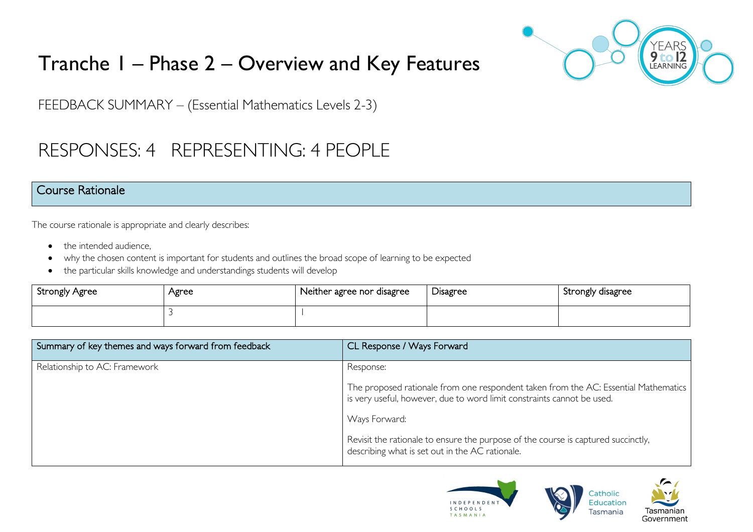# Tranche 1 – Phase 2 – Overview and Key Features



FEEDBACK SUMMARY – (Essential Mathematics Levels 2-3)

# RESPONSES: 4 REPRESENTING: 4 PEOPLE

#### Course Rationale

The course rationale is appropriate and clearly describes:

- the intended audience.
- why the chosen content is important for students and outlines the broad scope of learning to be expected
- the particular skills knowledge and understandings students will develop

| Strongly Agree | Agree | Neither agree nor disagree | Disagree | Strongly disagree |
|----------------|-------|----------------------------|----------|-------------------|
|                |       |                            |          |                   |

| Summary of key themes and ways forward from feedback | CL Response / Ways Forward                                                                                                                                    |
|------------------------------------------------------|---------------------------------------------------------------------------------------------------------------------------------------------------------------|
| Relationship to AC: Framework                        | Response:                                                                                                                                                     |
|                                                      | The proposed rationale from one respondent taken from the AC: Essential Mathematics<br>is very useful, however, due to word limit constraints cannot be used. |
|                                                      | Ways Forward:                                                                                                                                                 |
|                                                      | Revisit the rationale to ensure the purpose of the course is captured succinctly,<br>describing what is set out in the AC rationale.                          |



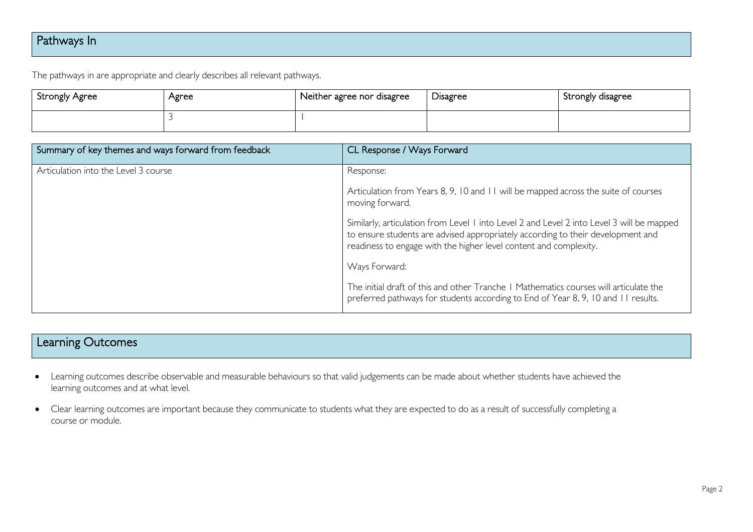## Pathways In

The pathways in are appropriate and clearly describes all relevant pathways.

| Strongly Agree | Agree | Neither agree nor disagree | Disagree | Strongly disagree |
|----------------|-------|----------------------------|----------|-------------------|
|                |       |                            |          |                   |

| Summary of key themes and ways forward from feedback | CL Response / Ways Forward                                                                                                                                                                                                                        |
|------------------------------------------------------|---------------------------------------------------------------------------------------------------------------------------------------------------------------------------------------------------------------------------------------------------|
| Articulation into the Level 3 course                 | Response:                                                                                                                                                                                                                                         |
|                                                      | Articulation from Years 8, 9, 10 and 11 will be mapped across the suite of courses<br>moving forward.                                                                                                                                             |
|                                                      | Similarly, articulation from Level 1 into Level 2 and Level 2 into Level 3 will be mapped<br>to ensure students are advised appropriately according to their development and<br>readiness to engage with the higher level content and complexity. |
|                                                      | Ways Forward:                                                                                                                                                                                                                                     |
|                                                      | The initial draft of this and other Tranche   Mathematics courses will articulate the<br>preferred pathways for students according to End of Year 8, 9, 10 and 11 results.                                                                        |

## Learning Outcomes

- Learning outcomes describe observable and measurable behaviours so that valid judgements can be made about whether students have achieved the learning outcomes and at what level.
- Clear learning outcomes are important because they communicate to students what they are expected to do as a result of successfully completing a course or module.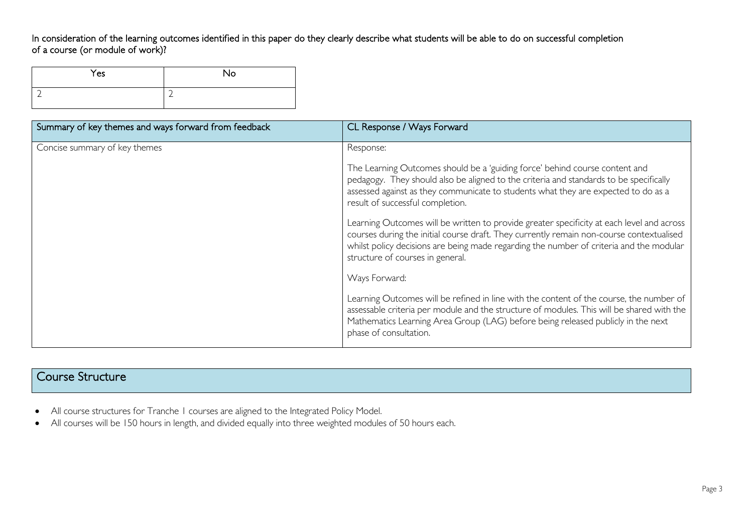#### In consideration of the learning outcomes identified in this paper do they clearly describe what students will be able to do on successful completion of a course (or module of work)?

| Yes | No                       |
|-----|--------------------------|
|     | $\overline{\phantom{0}}$ |

| Summary of key themes and ways forward from feedback | CL Response / Ways Forward                                                                                                                                                                                                                                                                                           |
|------------------------------------------------------|----------------------------------------------------------------------------------------------------------------------------------------------------------------------------------------------------------------------------------------------------------------------------------------------------------------------|
| Concise summary of key themes                        | Response:                                                                                                                                                                                                                                                                                                            |
|                                                      | The Learning Outcomes should be a 'guiding force' behind course content and<br>pedagogy. They should also be aligned to the criteria and standards to be specifically<br>assessed against as they communicate to students what they are expected to do as a<br>result of successful completion.                      |
|                                                      | Learning Outcomes will be written to provide greater specificity at each level and across<br>courses during the initial course draft. They currently remain non-course contextualised<br>whilst policy decisions are being made regarding the number of criteria and the modular<br>structure of courses in general. |
|                                                      | Ways Forward:                                                                                                                                                                                                                                                                                                        |
|                                                      | Learning Outcomes will be refined in line with the content of the course, the number of<br>assessable criteria per module and the structure of modules. This will be shared with the<br>Mathematics Learning Area Group (LAG) before being released publicly in the next<br>phase of consultation.                   |

### Course Structure

- All course structures for Tranche 1 courses are aligned to the Integrated Policy Model.
- All courses will be 150 hours in length, and divided equally into three weighted modules of 50 hours each.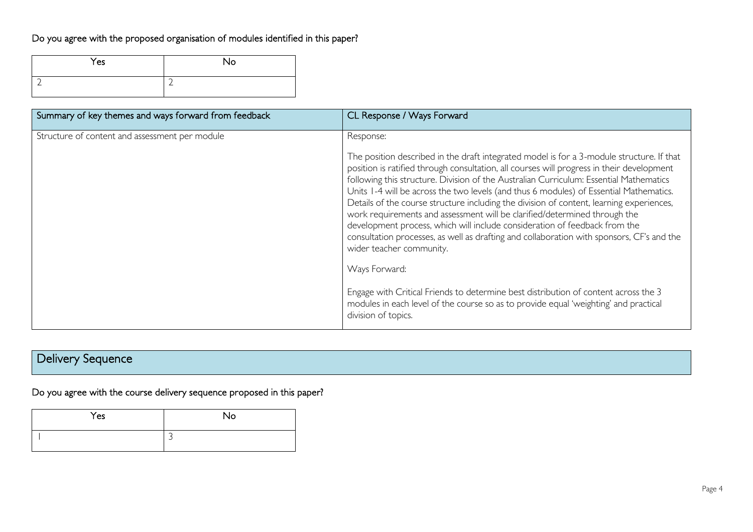#### Do you agree with the proposed organisation of modules identified in this paper?

| Yes | No |
|-----|----|
|     | ∽  |

| Summary of key themes and ways forward from feedback | CL Response / Ways Forward                                                                                                                                                                                                                                                                                                                                                                                                                                                                                                                                                                                                                                                                                                                                                                                                                                                                                                                                                                     |
|------------------------------------------------------|------------------------------------------------------------------------------------------------------------------------------------------------------------------------------------------------------------------------------------------------------------------------------------------------------------------------------------------------------------------------------------------------------------------------------------------------------------------------------------------------------------------------------------------------------------------------------------------------------------------------------------------------------------------------------------------------------------------------------------------------------------------------------------------------------------------------------------------------------------------------------------------------------------------------------------------------------------------------------------------------|
| Structure of content and assessment per module       | Response:<br>The position described in the draft integrated model is for a 3-module structure. If that<br>position is ratified through consultation, all courses will progress in their development<br>following this structure. Division of the Australian Curriculum: Essential Mathematics<br>Units 1-4 will be across the two levels (and thus 6 modules) of Essential Mathematics.<br>Details of the course structure including the division of content, learning experiences,<br>work requirements and assessment will be clarified/determined through the<br>development process, which will include consideration of feedback from the<br>consultation processes, as well as drafting and collaboration with sponsors, CF's and the<br>wider teacher community.<br>Ways Forward:<br>Engage with Critical Friends to determine best distribution of content across the 3<br>modules in each level of the course so as to provide equal 'weighting' and practical<br>division of topics. |

## Delivery Sequence

## Do you agree with the course delivery sequence proposed in this paper?

| Yes | No |
|-----|----|
|     | ب  |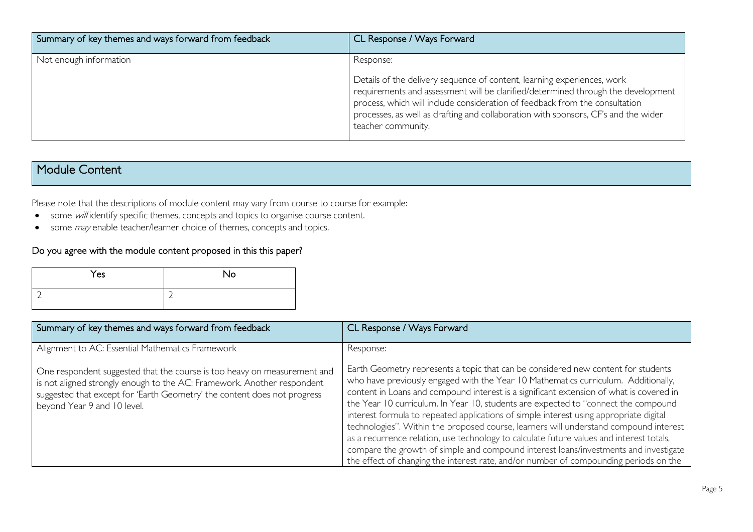| Summary of key themes and ways forward from feedback | CL Response / Ways Forward                                                                                                                                                                                                                              |
|------------------------------------------------------|---------------------------------------------------------------------------------------------------------------------------------------------------------------------------------------------------------------------------------------------------------|
| Not enough information                               | Response:<br>Details of the delivery sequence of content, learning experiences, work<br>requirements and assessment will be clarified/determined through the development<br>process, which will include consideration of feedback from the consultation |
|                                                      | processes, as well as drafting and collaboration with sponsors, CF's and the wider<br>teacher community.                                                                                                                                                |

### Module Content

Please note that the descriptions of module content may vary from course to course for example:

- some will identify specific themes, concepts and topics to organise course content.
- some *may* enable teacher/learner choice of themes, concepts and topics.

#### Do you agree with the module content proposed in this this paper?

| Yes | No     |
|-----|--------|
|     | ∽<br>= |

| Summary of key themes and ways forward from feedback                                                                                                                                                                                                           | CL Response / Ways Forward                                                                                                                                                                                                                                                                                                                                                                                                                                                                                                                                                                                                                                                                                                                                                                                               |
|----------------------------------------------------------------------------------------------------------------------------------------------------------------------------------------------------------------------------------------------------------------|--------------------------------------------------------------------------------------------------------------------------------------------------------------------------------------------------------------------------------------------------------------------------------------------------------------------------------------------------------------------------------------------------------------------------------------------------------------------------------------------------------------------------------------------------------------------------------------------------------------------------------------------------------------------------------------------------------------------------------------------------------------------------------------------------------------------------|
| Alignment to AC: Essential Mathematics Framework                                                                                                                                                                                                               | Response:                                                                                                                                                                                                                                                                                                                                                                                                                                                                                                                                                                                                                                                                                                                                                                                                                |
| One respondent suggested that the course is too heavy on measurement and<br>is not aligned strongly enough to the AC: Framework. Another respondent<br>suggested that except for 'Earth Geometry' the content does not progress<br>beyond Year 9 and 10 level. | Earth Geometry represents a topic that can be considered new content for students<br>who have previously engaged with the Year 10 Mathematics curriculum. Additionally,<br>content in Loans and compound interest is a significant extension of what is covered in<br>the Year 10 curriculum. In Year 10, students are expected to "connect the compound<br>interest formula to repeated applications of simple interest using appropriate digital<br>technologies". Within the proposed course, learners will understand compound interest<br>as a recurrence relation, use technology to calculate future values and interest totals,<br>compare the growth of simple and compound interest loans/investments and investigate<br>the effect of changing the interest rate, and/or number of compounding periods on the |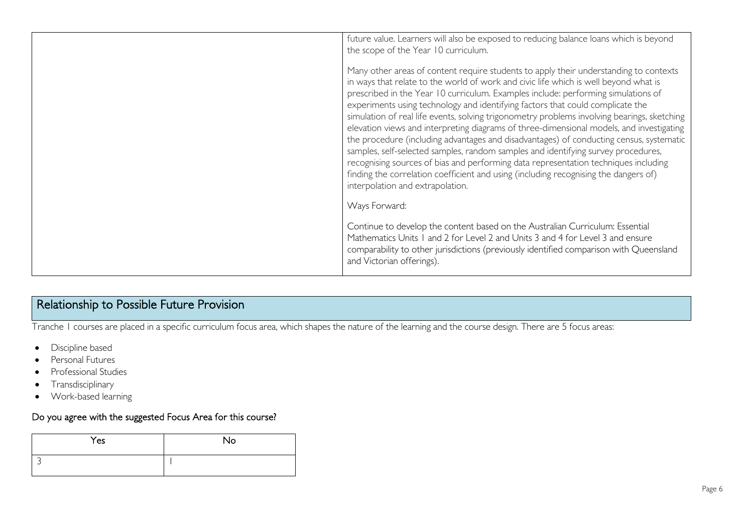| future value. Learners will also be exposed to reducing balance loans which is beyond<br>the scope of the Year 10 curriculum.                                                                                                                                                                                                                                                                                                                                                                                                                                                                                                                                                                                                                                                                                                                                                                                                                      |
|----------------------------------------------------------------------------------------------------------------------------------------------------------------------------------------------------------------------------------------------------------------------------------------------------------------------------------------------------------------------------------------------------------------------------------------------------------------------------------------------------------------------------------------------------------------------------------------------------------------------------------------------------------------------------------------------------------------------------------------------------------------------------------------------------------------------------------------------------------------------------------------------------------------------------------------------------|
| Many other areas of content require students to apply their understanding to contexts<br>in ways that relate to the world of work and civic life which is well beyond what is<br>prescribed in the Year 10 curriculum. Examples include: performing simulations of<br>experiments using technology and identifying factors that could complicate the<br>simulation of real life events, solving trigonometry problems involving bearings, sketching<br>elevation views and interpreting diagrams of three-dimensional models, and investigating<br>the procedure (including advantages and disadvantages) of conducting census, systematic<br>samples, self-selected samples, random samples and identifying survey procedures,<br>recognising sources of bias and performing data representation techniques including<br>finding the correlation coefficient and using (including recognising the dangers of)<br>interpolation and extrapolation. |
| Ways Forward:                                                                                                                                                                                                                                                                                                                                                                                                                                                                                                                                                                                                                                                                                                                                                                                                                                                                                                                                      |
| Continue to develop the content based on the Australian Curriculum: Essential<br>Mathematics Units I and 2 for Level 2 and Units 3 and 4 for Level 3 and ensure<br>comparability to other jurisdictions (previously identified comparison with Queensland<br>and Victorian offerings).                                                                                                                                                                                                                                                                                                                                                                                                                                                                                                                                                                                                                                                             |

## Relationship to Possible Future Provision

Tranche 1 courses are placed in a specific curriculum focus area, which shapes the nature of the learning and the course design. There are 5 focus areas:

- Discipline based
- Personal Futures
- Professional Studies
- Transdisciplinary
- Work-based learning

#### Do you agree with the suggested Focus Area for this course?

| Yes | <b>No</b> |
|-----|-----------|
|     |           |